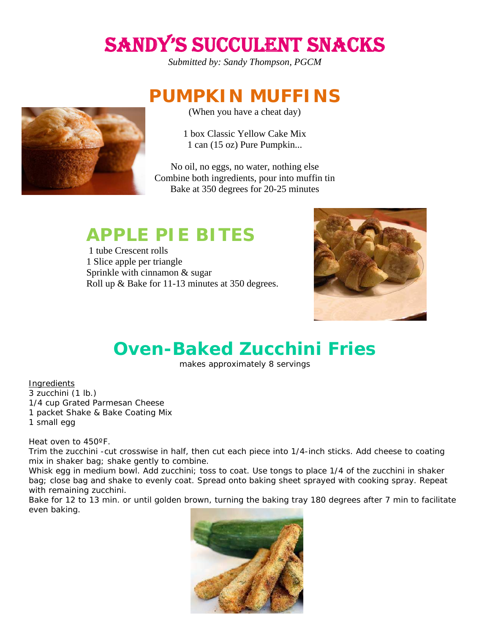# SANDY'S SUCCULENT SNACKS

*Submitted by: Sandy Thompson, PGCM* 

### **PUMPKIN MUFFINS**

(When you have a cheat day)

1 box Classic Yellow Cake Mix 1 can (15 oz) Pure Pumpkin...

No oil, no eggs, no water, nothing else Combine both ingredients, pour into muffin tin Bake at 350 degrees for 20-25 minutes

### **APPLE PIE BITES**

 1 tube Crescent rolls 1 Slice apple per triangle Sprinkle with cinnamon & sugar Roll up & Bake for 11-13 minutes at 350 degrees.



## **Oven-Baked Zucchini Fries**

makes approximately 8 servings

**Ingredients** 3 zucchini (1 lb.) 1/4 cup Grated Parmesan Cheese 1 packet Shake & Bake Coating Mix 1 small egg

Heat oven to 450ºF.

Trim the zucchini -cut crosswise in half, then cut each piece into 1/4-inch sticks. Add cheese to coating mix in shaker bag; shake gently to combine.

Whisk egg in medium bowl. Add zucchini; toss to coat. Use tongs to place 1/4 of the zucchini in shaker bag; close bag and shake to evenly coat. Spread onto baking sheet sprayed with cooking spray. Repeat with remaining zucchini.

Bake for 12 to 13 min. or until golden brown, turning the baking tray 180 degrees after 7 min to facilitate even baking.